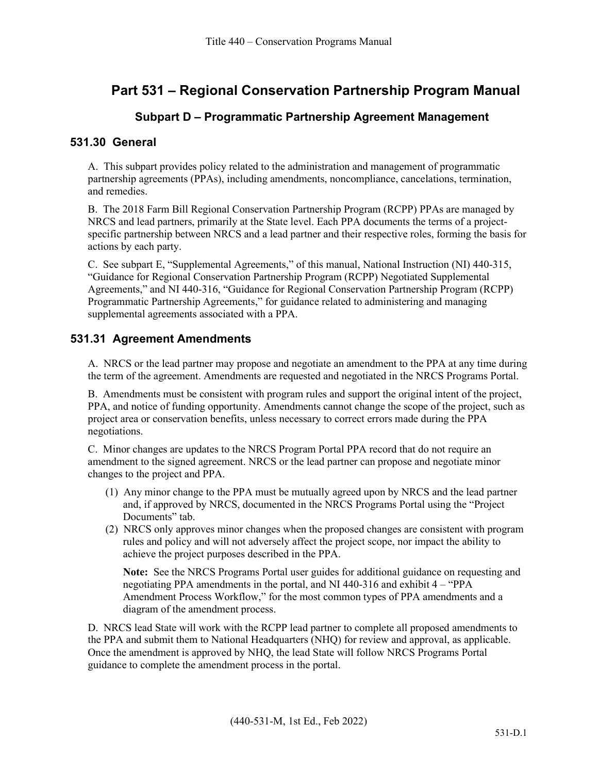# **Part 531 – Regional Conservation Partnership Program Manual**

### **Subpart D – Programmatic Partnership Agreement Management**

#### **531.30 General**

A. This subpart provides policy related to the administration and management of programmatic partnership agreements (PPAs), including amendments, noncompliance, cancelations, termination, and remedies.

B. The 2018 Farm Bill Regional Conservation Partnership Program (RCPP) PPAs are managed by NRCS and lead partners, primarily at the State level. Each PPA documents the terms of a projectspecific partnership between NRCS and a lead partner and their respective roles, forming the basis for actions by each party.

C. See subpart E, "Supplemental Agreements," of this manual, National Instruction (NI) 440-315, "Guidance for Regional Conservation Partnership Program (RCPP) Negotiated Supplemental Agreements," and NI 440-316, "Guidance for Regional Conservation Partnership Program (RCPP) Programmatic Partnership Agreements," for guidance related to administering and managing supplemental agreements associated with a PPA.

#### **531.31 Agreement Amendments**

A. NRCS or the lead partner may propose and negotiate an amendment to the PPA at any time during the term of the agreement. Amendments are requested and negotiated in the NRCS Programs Portal.

B. Amendments must be consistent with program rules and support the original intent of the project, PPA, and notice of funding opportunity. Amendments cannot change the scope of the project, such as project area or conservation benefits, unless necessary to correct errors made during the PPA negotiations.

C. Minor changes are updates to the NRCS Program Portal PPA record that do not require an amendment to the signed agreement. NRCS or the lead partner can propose and negotiate minor changes to the project and PPA.

- (1) Any minor change to the PPA must be mutually agreed upon by NRCS and the lead partner and, if approved by NRCS, documented in the NRCS Programs Portal using the "Project Documents" tab.
- (2) NRCS only approves minor changes when the proposed changes are consistent with program rules and policy and will not adversely affect the project scope, nor impact the ability to achieve the project purposes described in the PPA.

**Note:** See the NRCS Programs Portal user guides for additional guidance on requesting and negotiating PPA amendments in the portal, and NI 440-316 and exhibit 4 – "PPA Amendment Process Workflow," for the most common types of PPA amendments and a diagram of the amendment process.

D. NRCS lead State will work with the RCPP lead partner to complete all proposed amendments to the PPA and submit them to National Headquarters (NHQ) for review and approval, as applicable. Once the amendment is approved by NHQ, the lead State will follow NRCS Programs Portal guidance to complete the amendment process in the portal.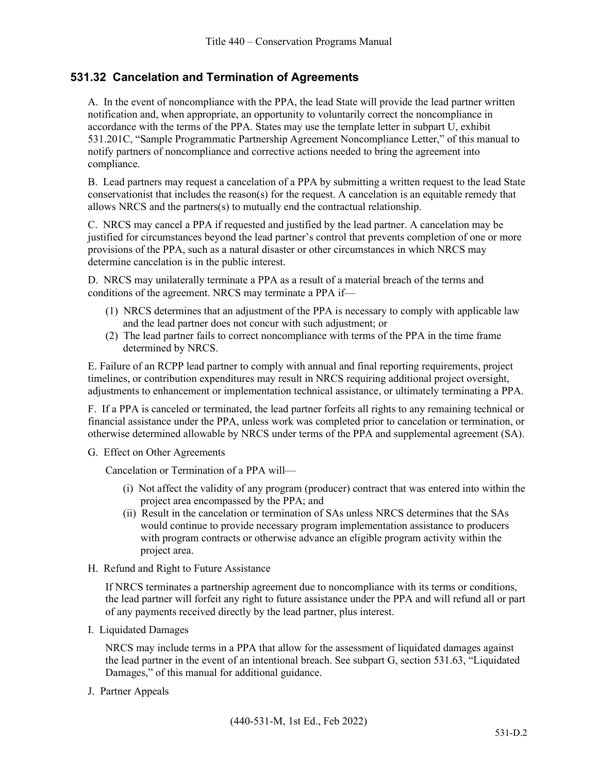## **531.32 Cancelation and Termination of Agreements**

A. In the event of noncompliance with the PPA, the lead State will provide the lead partner written notification and, when appropriate, an opportunity to voluntarily correct the noncompliance in accordance with the terms of the PPA. States may use the template letter in subpart U, exhibit 531.201C, "Sample Programmatic Partnership Agreement Noncompliance Letter," of this manual to notify partners of noncompliance and corrective actions needed to bring the agreement into compliance.

B. Lead partners may request a cancelation of a PPA by submitting a written request to the lead State conservationist that includes the reason(s) for the request. A cancelation is an equitable remedy that allows NRCS and the partners(s) to mutually end the contractual relationship.

C. NRCS may cancel a PPA if requested and justified by the lead partner. A cancelation may be justified for circumstances beyond the lead partner's control that prevents completion of one or more provisions of the PPA, such as a natural disaster or other circumstances in which NRCS may determine cancelation is in the public interest.

D. NRCS may unilaterally terminate a PPA as a result of a material breach of the terms and conditions of the agreement. NRCS may terminate a PPA if—

- (1) NRCS determines that an adjustment of the PPA is necessary to comply with applicable law and the lead partner does not concur with such adjustment; or
- (2) The lead partner fails to correct noncompliance with terms of the PPA in the time frame determined by NRCS.

E. Failure of an RCPP lead partner to comply with annual and final reporting requirements, project timelines, or contribution expenditures may result in NRCS requiring additional project oversight, adjustments to enhancement or implementation technical assistance, or ultimately terminating a PPA.

F. If a PPA is canceled or terminated, the lead partner forfeits all rights to any remaining technical or financial assistance under the PPA, unless work was completed prior to cancelation or termination, or otherwise determined allowable by NRCS under terms of the PPA and supplemental agreement (SA).

G. Effect on Other Agreements

Cancelation or Termination of a PPA will—

- (i) Not affect the validity of any program (producer) contract that was entered into within the project area encompassed by the PPA; and
- (ii) Result in the cancelation or termination of SAs unless NRCS determines that the SAs would continue to provide necessary program implementation assistance to producers with program contracts or otherwise advance an eligible program activity within the project area.
- H. Refund and Right to Future Assistance

If NRCS terminates a partnership agreement due to noncompliance with its terms or conditions, the lead partner will forfeit any right to future assistance under the PPA and will refund all or part of any payments received directly by the lead partner, plus interest.

I. Liquidated Damages

NRCS may include terms in a PPA that allow for the assessment of liquidated damages against the lead partner in the event of an intentional breach. See subpart G, section 531.63, "Liquidated Damages," of this manual for additional guidance.

J. Partner Appeals